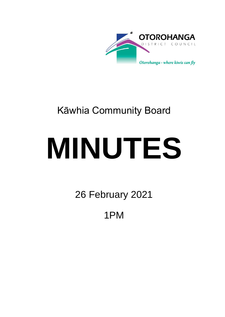

## Kāwhia Community Board

# **MINUTES**

26 February 2021

1PM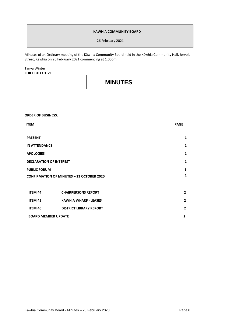#### **KĀWHIA COMMUNITY BOARD**

26 February 2021

Minutes of an Ordinary meeting of the Kāwhia Community Board held in the Kāwhia Community Hall, Jervois Street, Kāwhia on 26 February 2021 commencing at 1.00pm.

Tanya Winter **CHIEF EXECUTIVE**

### **MINUTES**

**ORDER OF BUSINESS:**

| <b>ITEM</b>                                      |                                | <b>PAGE</b>    |
|--------------------------------------------------|--------------------------------|----------------|
|                                                  |                                |                |
| <b>PRESENT</b>                                   |                                | 1              |
| <b>IN ATTENDANCE</b>                             |                                | 1              |
| <b>APOLOGIES</b>                                 |                                | 1              |
| <b>DECLARATION OF INTEREST</b>                   |                                | 1              |
| <b>PUBLIC FORUM</b>                              |                                | $\mathbf{1}$   |
| <b>CONFIRMATION OF MINUTES - 23 OCTOBER 2020</b> |                                | 1              |
|                                                  |                                |                |
| <b>ITEM 44</b>                                   | <b>CHAIRPERSONS REPORT</b>     | $\mathbf{2}$   |
| <b>ITEM 45</b>                                   | <b>KĀWHIA WHARF - LEASES</b>   | $\overline{2}$ |
| <b>ITEM 46</b>                                   | <b>DISTRICT LIBRARY REPORT</b> | $\overline{2}$ |
| <b>BOARD MEMBER UPDATE</b>                       |                                | $\overline{2}$ |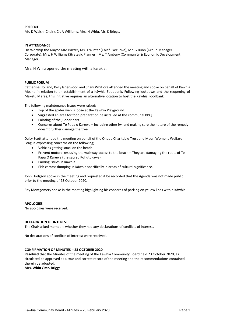#### **PRESENT**

Mr. D Walsh (Chair), Cr. A Williams, Mrs. H Whiu, Mr. K Briggs.

#### **IN ATTENDANCE**

His Worship the Mayor MM Baxter**,** Ms. T Winter (Chief Executive), Mr. G Bunn (Group Manager Corporate), Mrs. H Williams (Strategic Planner), Ms. T Ambury (Community & Economic Development Manager).

Mrs. H Whiu opened the meeting with a karakia.

#### **PUBLIC FORUM**

Catherine Holland, Kelly Isherwood and Shani Whitiora attended the meeting and spoke on behalf of Kāwhia Moana in relation to an establishment of a Kāwhia Foodbank. Following lockdown and the reopening of Maketū Marae, this initiative requires an alternative location to host the Kāwhia Foodbank.

The following maintenance issues were raised;

- Top of the spider web is loose at the Kāwhia Playground.
- Suggested an area for food preparation be installed at the communal BBQ.
- Painting of the judder bars.
- Concerns about Te Papa o Karewa including other iwi and making sure the nature of the remedy doesn't further damage the tree

Daisy Scott attended the meeting on behalf of the Onepu Charitable Trust and Maori Womens Welfare League expressing concerns on the following;

- Vehicles getting stuck on the beach.
- Prevent motorbikes using the walkway access to the beach They are damaging the roots of Te Papa O Karewa (the sacred Pohutukawa).
- Parking issues in Kāwhia.
- Fish carcass dumping in Kāwhia specifically in areas of cultural significance.

John Dodgson spoke in the meeting and requested it be recorded that the Agenda was not made public prior to the meeting of 23 October 2020.

Ray Montgomery spoke in the meeting highlighting his concerns of parking on yellow lines within Kāwhia.

#### **APOLOGIES**

No apologies were received.

#### **DECLARATION OF INTEREST**

The Chair asked members whether they had any declarations of conflicts of interest.

No declarations of conflicts of interest were received.

#### **CONFIRMATION OF MINUTES – 23 OCTOBER 2020**

**Resolved** that the Minutes of the meeting of the Kāwhia Community Board held 23 October 2020, as circulated be approved as a true and correct record of the meeting and the recommendations contained therein be adopted.

**Mrs. Whiu / Mr. Briggs**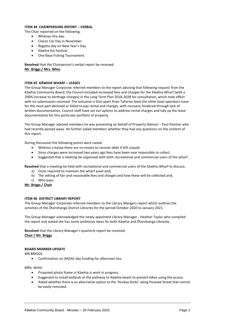#### **ITEM 44 CHAIRPERSONS REPORT – VERBAL**

- The Chair reported on the following;
	- Whānau Ora day.
	- Classic Car Day in November.
	- Regatta day on New Year's Day.
	- Kāwhia Kai Festival.
	- One Base Fishing Tournament.

**Resolved** that the Chairperson's verbal report be received. **Mr. Briggs / Mrs. Whiu**

#### **ITEM 45 KĀWHIA WHARF – LEASES**

The Group Manager Corporate referred members to the report advising that following request from the Kāwhia Community Board, the Council included increased fees and charges for the Kāwhia Wharf (with a 200% increase to berthage charges) in the Long Term Plan 2018-2028 for consultation, which took effect with no submissions received. The outcome is that apart from Taharoa Steel the other boat operators have for the most part declined or failed to pay rental and charges, with recovery hindered through lack of written documentation. Council staff have set out options to address rental charges and tidy up the lease documentation for this particular portfolio of property.

The Group Manager advised members he was presenting on behalf of Property Advisor – Paul Pointon who had recently passed away. He further asked members whether they had any questions on the content of this report.

During discussion the following points were raised:

- Without a bylaw there are no means to recover debt if left unpaid.
- Since charges were increased two years ago fees have been near impossible to collect.
- Suggested that a meeting be organised with both recreational and commercial users of the wharf.

**Resolved** that a meeting be held with recreational and commercial users of the Kāwhia Wharf to discuss;

- a) Costs required to maintain the wharf asset and;
- b) The setting of fair and reasonable fees and charges and how these will be collected and;
- c) Who pays.

**Mr. Briggs / Chair**

#### **ITEM 46 DISTRICT LIBRARY REPORT**

The Group Manager Corporate referred members to the Library Mangers report which outlines the activities of the Ōtorohanga District Libraries for the period October 2020 to January 2021.

The Group Manager acknowledged the newly appointed Library Manager - Heather Taylor who compiled the report and stated she has some ambitious ideas for both Kāwhia and Ōtorohanga Libraries.

**Resolved** that the Library Manager's quarterly report be received. **Chair / Mr. Briggs**

#### **BOARD MEMBER UPDATE**

MR BRIGGS

Confirmation on ANZAC day funding for afternoon tea.

MRS. WHIU

- Proposed photo frame in Kāwhia is work in progress.
- Suggested to install bollards at the pathway to Kāwhia beach to prevent bikes using the access.
- Asked whether there is an alternative option to the 'Hockey Sticks' along Pouewe Street that cannot be easily removed.